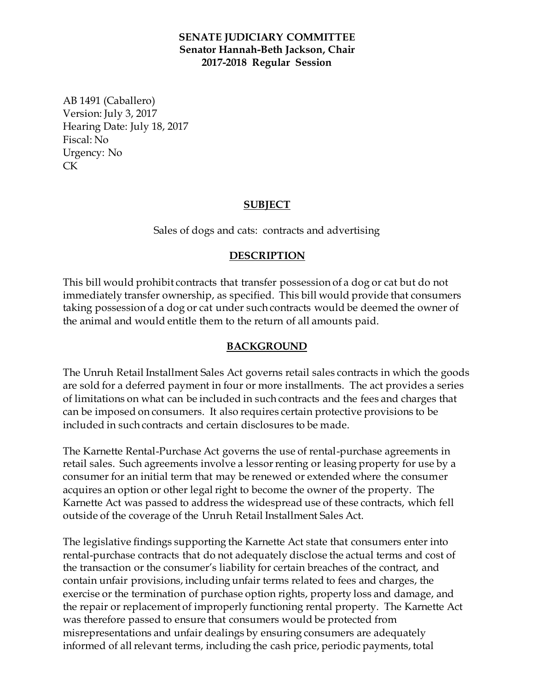### **SENATE JUDICIARY COMMITTEE Senator Hannah-Beth Jackson, Chair 2017-2018 Regular Session**

AB 1491 (Caballero) Version: July 3, 2017 Hearing Date: July 18, 2017 Fiscal: No Urgency: No CK

## **SUBJECT**

Sales of dogs and cats: contracts and advertising

### **DESCRIPTION**

This bill would prohibit contracts that transfer possession of a dog or cat but do not immediately transfer ownership, as specified. This bill would provide that consumers taking possession of a dog or cat under such contracts would be deemed the owner of the animal and would entitle them to the return of all amounts paid.

### **BACKGROUND**

The Unruh Retail Installment Sales Act governs retail sales contracts in which the goods are sold for a deferred payment in four or more installments. The act provides a series of limitations on what can be included in such contracts and the fees and charges that can be imposed on consumers. It also requires certain protective provisions to be included in such contracts and certain disclosures to be made.

The Karnette Rental-Purchase Act governs the use of rental-purchase agreements in retail sales. Such agreements involve a lessor renting or leasing property for use by a consumer for an initial term that may be renewed or extended where the consumer acquires an option or other legal right to become the owner of the property. The Karnette Act was passed to address the widespread use of these contracts, which fell outside of the coverage of the Unruh Retail Installment Sales Act.

The legislative findings supporting the Karnette Act state that consumers enter into rental-purchase contracts that do not adequately disclose the actual terms and cost of the transaction or the consumer's liability for certain breaches of the contract, and contain unfair provisions, including unfair terms related to fees and charges, the exercise or the termination of purchase option rights, property loss and damage, and the repair or replacement of improperly functioning rental property. The Karnette Act was therefore passed to ensure that consumers would be protected from misrepresentations and unfair dealings by ensuring consumers are adequately informed of all relevant terms, including the cash price, periodic payments, total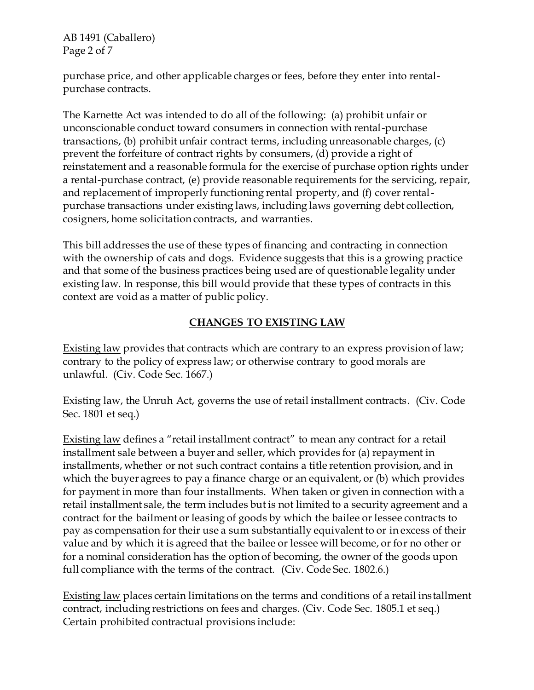AB 1491 (Caballero) Page 2 of 7

purchase price, and other applicable charges or fees, before they enter into rentalpurchase contracts.

The Karnette Act was intended to do all of the following: (a) prohibit unfair or unconscionable conduct toward consumers in connection with rental-purchase transactions, (b) prohibit unfair contract terms, including unreasonable charges, (c) prevent the forfeiture of contract rights by consumers, (d) provide a right of reinstatement and a reasonable formula for the exercise of purchase option rights under a rental-purchase contract, (e) provide reasonable requirements for the servicing, repair, and replacement of improperly functioning rental property, and (f) cover rentalpurchase transactions under existing laws, including laws governing debt collection, cosigners, home solicitation contracts, and warranties.

This bill addresses the use of these types of financing and contracting in connection with the ownership of cats and dogs. Evidence suggests that this is a growing practice and that some of the business practices being used are of questionable legality under existing law. In response, this bill would provide that these types of contracts in this context are void as a matter of public policy.

# **CHANGES TO EXISTING LAW**

Existing law provides that contracts which are contrary to an express provision of law; contrary to the policy of express law; or otherwise contrary to good morals are unlawful. (Civ. Code Sec. 1667.)

Existing law, the Unruh Act, governs the use of retail installment contracts. (Civ. Code Sec. 1801 et seq.)

Existing law defines a "retail installment contract" to mean any contract for a retail installment sale between a buyer and seller, which provides for (a) repayment in installments, whether or not such contract contains a title retention provision, and in which the buyer agrees to pay a finance charge or an equivalent, or (b) which provides for payment in more than four installments. When taken or given in connection with a retail installment sale, the term includes but is not limited to a security agreement and a contract for the bailment or leasing of goods by which the bailee or lessee contracts to pay as compensation for their use a sum substantially equivalent to or in excess of their value and by which it is agreed that the bailee or lessee will become, or for no other or for a nominal consideration has the option of becoming, the owner of the goods upon full compliance with the terms of the contract. (Civ. Code Sec. 1802.6.)

Existing law places certain limitations on the terms and conditions of a retail installment contract, including restrictions on fees and charges. (Civ. Code Sec. 1805.1 et seq.) Certain prohibited contractual provisions include: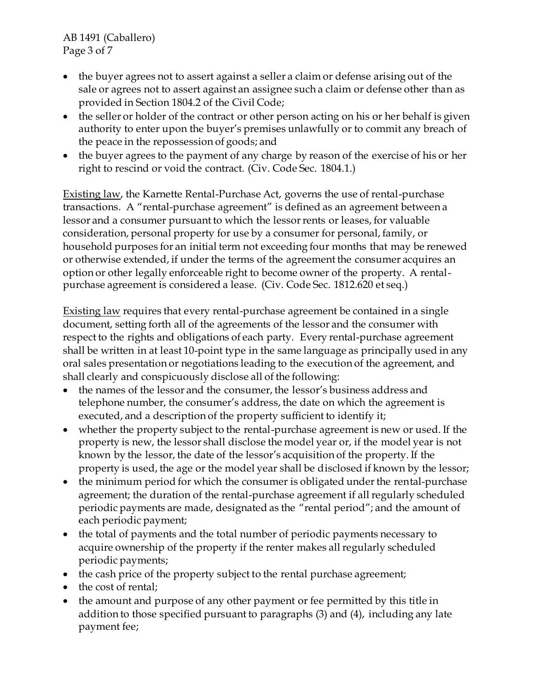AB 1491 (Caballero) Page 3 of 7

- the buyer agrees not to assert against a seller a claim or defense arising out of the sale or agrees not to assert against an assignee such a claim or defense other than as provided in Section 1804.2 of the Civil Code;
- the seller or holder of the contract or other person acting on his or her behalf is given authority to enter upon the buyer's premises unlawfully or to commit any breach of the peace in the repossession of goods; and
- the buyer agrees to the payment of any charge by reason of the exercise of his or her right to rescind or void the contract. (Civ. Code Sec. 1804.1.)

Existing law, the Karnette Rental-Purchase Act, governs the use of rental-purchase transactions. A "rental-purchase agreement" is defined as an agreement between a lessor and a consumer pursuant to which the lessor rents or leases, for valuable consideration, personal property for use by a consumer for personal, family, or household purposes for an initial term not exceeding four months that may be renewed or otherwise extended, if under the terms of the agreement the consumer acquires an option or other legally enforceable right to become owner of the property. A rentalpurchase agreement is considered a lease. (Civ. Code Sec. 1812.620 et seq.)

Existing law requires that every rental-purchase agreement be contained in a single document, setting forth all of the agreements of the lessor and the consumer with respect to the rights and obligations of each party. Every rental-purchase agreement shall be written in at least 10-point type in the same language as principally used in any oral sales presentation or negotiations leading to the execution of the agreement, and shall clearly and conspicuously disclose all of the following:

- the names of the lessor and the consumer, the lessor's business address and telephone number, the consumer's address, the date on which the agreement is executed, and a description of the property sufficient to identify it;
- whether the property subject to the rental-purchase agreement is new or used. If the property is new, the lessor shall disclose the model year or, if the model year is not known by the lessor, the date of the lessor's acquisition of the property. If the property is used, the age or the model year shall be disclosed if known by the lessor;
- the minimum period for which the consumer is obligated under the rental-purchase agreement; the duration of the rental-purchase agreement if all regularly scheduled periodic payments are made, designated as the "rental period"; and the amount of each periodic payment;
- the total of payments and the total number of periodic payments necessary to acquire ownership of the property if the renter makes all regularly scheduled periodic payments;
- the cash price of the property subject to the rental purchase agreement;
- the cost of rental;
- the amount and purpose of any other payment or fee permitted by this title in addition to those specified pursuant to paragraphs (3) and (4), including any late payment fee;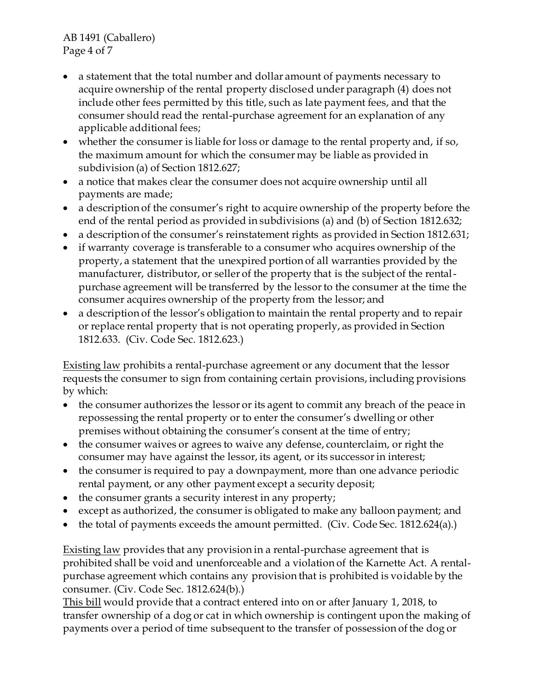AB 1491 (Caballero) Page 4 of 7

- a statement that the total number and dollar amount of payments necessary to acquire ownership of the rental property disclosed under paragraph (4) does not include other fees permitted by this title, such as late payment fees, and that the consumer should read the rental-purchase agreement for an explanation of any applicable additional fees;
- whether the consumer is liable for loss or damage to the rental property and, if so, the maximum amount for which the consumer may be liable as provided in subdivision (a) of Section 1812.627;
- a notice that makes clear the consumer does not acquire ownership until all payments are made;
- a description of the consumer's right to acquire ownership of the property before the end of the rental period as provided in subdivisions (a) and (b) of Section 1812.632;
- a description of the consumer's reinstatement rights as provided in Section 1812.631;
- if warranty coverage is transferable to a consumer who acquires ownership of the property, a statement that the unexpired portion of all warranties provided by the manufacturer, distributor, or seller of the property that is the subject of the rentalpurchase agreement will be transferred by the lessor to the consumer at the time the consumer acquires ownership of the property from the lessor; and
- a description of the lessor's obligation to maintain the rental property and to repair or replace rental property that is not operating properly, as provided in Section 1812.633. (Civ. Code Sec. 1812.623.)

Existing law prohibits a rental-purchase agreement or any document that the lessor requests the consumer to sign from containing certain provisions, including provisions by which:

- the consumer authorizes the lessor or its agent to commit any breach of the peace in repossessing the rental property or to enter the consumer's dwelling or other premises without obtaining the consumer's consent at the time of entry;
- the consumer waives or agrees to waive any defense, counterclaim, or right the consumer may have against the lessor, its agent, or its successor in interest;
- the consumer is required to pay a downpayment, more than one advance periodic rental payment, or any other payment except a security deposit;
- the consumer grants a security interest in any property;
- except as authorized, the consumer is obligated to make any balloon payment; and
- $\bullet$  the total of payments exceeds the amount permitted. (Civ. Code Sec. 1812.624(a).)

Existing law provides that any provision in a rental-purchase agreement that is prohibited shall be void and unenforceable and a violation of the Karnette Act. A rentalpurchase agreement which contains any provision that is prohibited is voidable by the consumer. (Civ. Code Sec. 1812.624(b).)

This bill would provide that a contract entered into on or after January 1, 2018, to transfer ownership of a dog or cat in which ownership is contingent upon the making of payments over a period of time subsequent to the transfer of possession of the dog or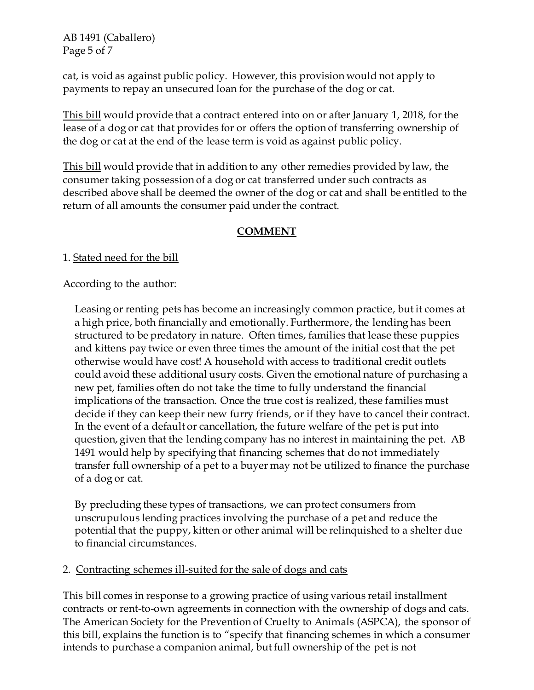AB 1491 (Caballero) Page 5 of 7

cat, is void as against public policy. However, this provision would not apply to payments to repay an unsecured loan for the purchase of the dog or cat.

This bill would provide that a contract entered into on or after January 1, 2018, for the lease of a dog or cat that provides for or offers the option of transferring ownership of the dog or cat at the end of the lease term is void as against public policy.

This bill would provide that in addition to any other remedies provided by law, the consumer taking possession of a dog or cat transferred under such contracts as described above shall be deemed the owner of the dog or cat and shall be entitled to the return of all amounts the consumer paid under the contract.

## **COMMENT**

1. Stated need for the bill

According to the author:

Leasing or renting pets has become an increasingly common practice, but it comes at a high price, both financially and emotionally. Furthermore, the lending has been structured to be predatory in nature. Often times, families that lease these puppies and kittens pay twice or even three times the amount of the initial cost that the pet otherwise would have cost! A household with access to traditional credit outlets could avoid these additional usury costs. Given the emotional nature of purchasing a new pet, families often do not take the time to fully understand the financial implications of the transaction. Once the true cost is realized, these families must decide if they can keep their new furry friends, or if they have to cancel their contract. In the event of a default or cancellation, the future welfare of the pet is put into question, given that the lending company has no interest in maintaining the pet. AB 1491 would help by specifying that financing schemes that do not immediately transfer full ownership of a pet to a buyer may not be utilized to finance the purchase of a dog or cat.

By precluding these types of transactions, we can protect consumers from unscrupulous lending practices involving the purchase of a pet and reduce the potential that the puppy, kitten or other animal will be relinquished to a shelter due to financial circumstances.

### 2. Contracting schemes ill-suited for the sale of dogs and cats

This bill comes in response to a growing practice of using various retail installment contracts or rent-to-own agreements in connection with the ownership of dogs and cats. The American Society for the Prevention of Cruelty to Animals (ASPCA), the sponsor of this bill, explains the function is to "specify that financing schemes in which a consumer intends to purchase a companion animal, but full ownership of the pet is not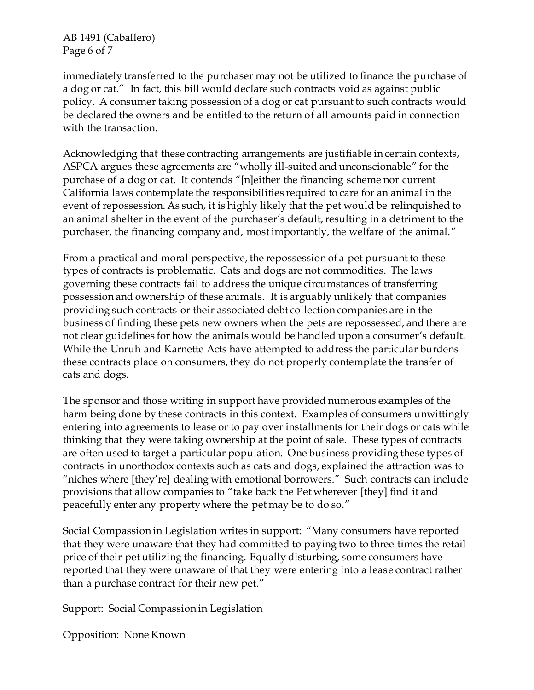AB 1491 (Caballero) Page 6 of 7

immediately transferred to the purchaser may not be utilized to finance the purchase of a dog or cat." In fact, this bill would declare such contracts void as against public policy. A consumer taking possession of a dog or cat pursuant to such contracts would be declared the owners and be entitled to the return of all amounts paid in connection with the transaction.

Acknowledging that these contracting arrangements are justifiable in certain contexts, ASPCA argues these agreements are "wholly ill-suited and unconscionable" for the purchase of a dog or cat. It contends "[n]either the financing scheme nor current California laws contemplate the responsibilities required to care for an animal in the event of repossession. As such, it is highly likely that the pet would be relinquished to an animal shelter in the event of the purchaser's default, resulting in a detriment to the purchaser, the financing company and, most importantly, the welfare of the animal."

From a practical and moral perspective, the repossession of a pet pursuant to these types of contracts is problematic. Cats and dogs are not commodities. The laws governing these contracts fail to address the unique circumstances of transferring possession and ownership of these animals. It is arguably unlikely that companies providing such contracts or their associated debt collection companies are in the business of finding these pets new owners when the pets are repossessed, and there are not clear guidelines for how the animals would be handled upon a consumer's default. While the Unruh and Karnette Acts have attempted to address the particular burdens these contracts place on consumers, they do not properly contemplate the transfer of cats and dogs.

The sponsor and those writing in support have provided numerous examples of the harm being done by these contracts in this context. Examples of consumers unwittingly entering into agreements to lease or to pay over installments for their dogs or cats while thinking that they were taking ownership at the point of sale. These types of contracts are often used to target a particular population. One business providing these types of contracts in unorthodox contexts such as cats and dogs, explained the attraction was to "niches where [they're] dealing with emotional borrowers." Such contracts can include provisions that allow companies to "take back the Pet wherever [they] find it and peacefully enter any property where the pet may be to do so."

Social Compassion in Legislation writes in support: "Many consumers have reported that they were unaware that they had committed to paying two to three times the retail price of their pet utilizing the financing. Equally disturbing, some consumers have reported that they were unaware of that they were entering into a lease contract rather than a purchase contract for their new pet."

Support: Social Compassion in Legislation

Opposition: None Known